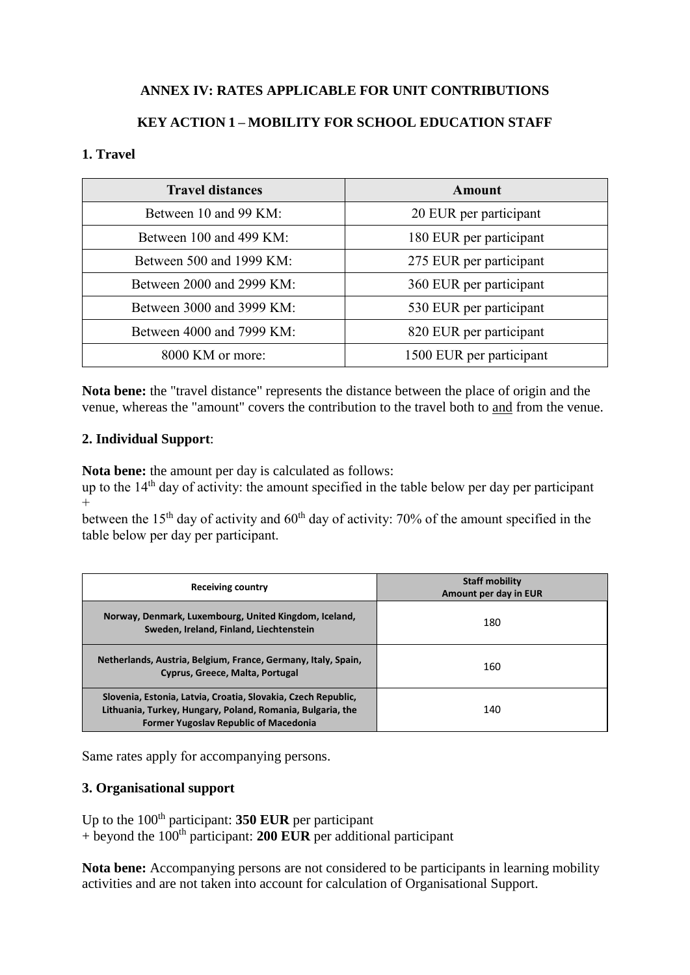## **ANNEX IV: RATES APPLICABLE FOR UNIT CONTRIBUTIONS**

## **KEY ACTION 1 – MOBILITY FOR SCHOOL EDUCATION STAFF**

#### **1. Travel**

| <b>Travel distances</b>   | Amount                   |
|---------------------------|--------------------------|
| Between 10 and 99 KM:     | 20 EUR per participant   |
| Between 100 and 499 KM:   | 180 EUR per participant  |
| Between 500 and 1999 KM:  | 275 EUR per participant  |
| Between 2000 and 2999 KM: | 360 EUR per participant  |
| Between 3000 and 3999 KM: | 530 EUR per participant  |
| Between 4000 and 7999 KM: | 820 EUR per participant  |
| 8000 KM or more:          | 1500 EUR per participant |

**Nota bene:** the "travel distance" represents the distance between the place of origin and the venue, whereas the "amount" covers the contribution to the travel both to and from the venue.

#### **2. Individual Support**:

**Nota bene:** the amount per day is calculated as follows:

up to the  $14<sup>th</sup>$  day of activity: the amount specified in the table below per day per participant  $+$ 

between the 15<sup>th</sup> day of activity and  $60<sup>th</sup>$  day of activity: 70% of the amount specified in the table below per day per participant.

| <b>Receiving country</b>                                                                                                                                                    | <b>Staff mobility</b><br>Amount per day in EUR |
|-----------------------------------------------------------------------------------------------------------------------------------------------------------------------------|------------------------------------------------|
| Norway, Denmark, Luxembourg, United Kingdom, Iceland,<br>Sweden, Ireland, Finland, Liechtenstein                                                                            | 180                                            |
| Netherlands, Austria, Belgium, France, Germany, Italy, Spain,<br>Cyprus, Greece, Malta, Portugal                                                                            | 160                                            |
| Slovenia, Estonia, Latvia, Croatia, Slovakia, Czech Republic,<br>Lithuania, Turkey, Hungary, Poland, Romania, Bulgaria, the<br><b>Former Yugoslav Republic of Macedonia</b> | 140                                            |

Same rates apply for accompanying persons.

### **3. Organisational support**

Up to the 100<sup>th</sup> participant: **350 EUR** per participant + beyond the 100th participant: **200 EUR** per additional participant

**Nota bene:** Accompanying persons are not considered to be participants in learning mobility activities and are not taken into account for calculation of Organisational Support.